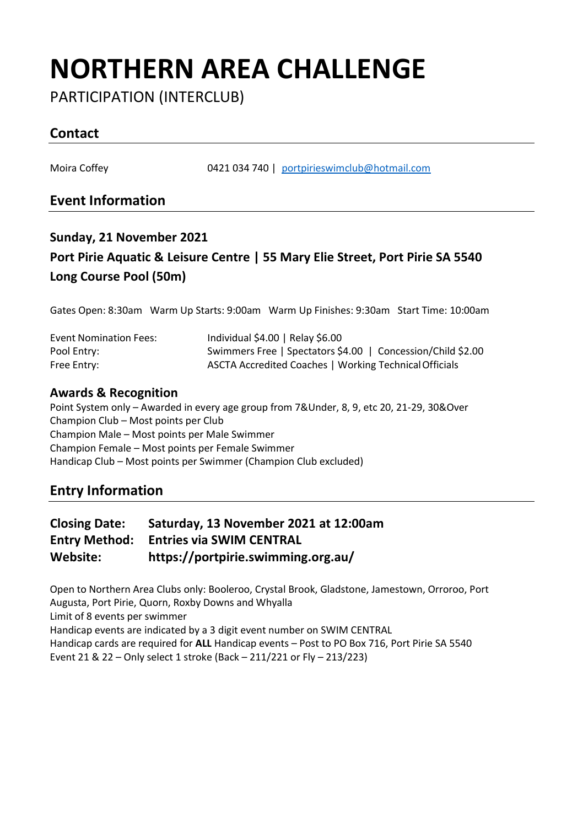# **NORTHERN AREA CHALLENGE**

PARTICIPATION (INTERCLUB)

### **Contact**

Moira Coffey 0421 034 740 | [portpirieswimclub@hotmail.com](mailto:portpirieswimclub@hotmail.com)

### **Event Information**

## **Sunday, 21 November 2021 Port Pirie Aquatic & Leisure Centre | 55 Mary Elie Street, Port Pirie SA 5540 Long Course Pool (50m)**

Gates Open: 8:30am Warm Up Starts: 9:00am Warm Up Finishes: 9:30am Start Time: 10:00am

| <b>Event Nomination Fees:</b> | Individual \$4.00   Relay \$6.00                            |
|-------------------------------|-------------------------------------------------------------|
| Pool Entry:                   | Swimmers Free   Spectators \$4.00   Concession/Child \$2.00 |
| Free Entry:                   | ASCTA Accredited Coaches   Working Technical Officials      |

#### **Awards & Recognition**

Point System only – Awarded in every age group from 7&Under, 8, 9, etc 20, 21-29, 30&Over Champion Club – Most points per Club Champion Male – Most points per Male Swimmer Champion Female – Most points per Female Swimmer Handicap Club – Most points per Swimmer (Champion Club excluded)

#### **Entry Information**

| <b>Closing Date:</b> | Saturday, 13 November 2021 at 12:00am |
|----------------------|---------------------------------------|
| Entry Method:        | <b>Entries via SWIM CENTRAL</b>       |
| Website:             | https://portpirie.swimming.org.au/    |

Open to Northern Area Clubs only: Booleroo, Crystal Brook, Gladstone, Jamestown, Orroroo, Port Augusta, Port Pirie, Quorn, Roxby Downs and Whyalla Limit of 8 events per swimmer Handicap events are indicated by a 3 digit event number on SWIM CENTRAL Handicap cards are required for **ALL** Handicap events – Post to PO Box 716, Port Pirie SA 5540 Event 21 & 22 – Only select 1 stroke (Back – 211/221 or Fly – 213/223)